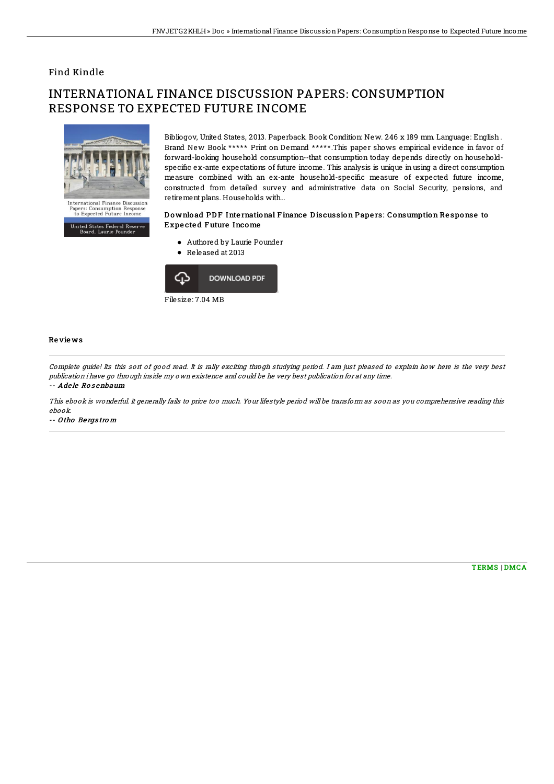## Find Kindle

# INTERNATIONAL FINANCE DISCUSSION PAPERS: CONSUMPTION RESPONSE TO EXPECTED FUTURE INCOME



United States Federal Reserve<br>Board, Laurie Pounder

Bibliogov, United States, 2013. Paperback. Book Condition: New. 246 x 189 mm. Language: English . Brand New Book \*\*\*\*\* Print on Demand \*\*\*\*\*.This paper shows empirical evidence in favor of forward-looking household consumption--that consumption today depends directly on householdspecific ex-ante expectations of future income. This analysis is unique in using a direct consumption measure combined with an ex-ante household-specific measure of expected future income, constructed from detailed survey and administrative data on Social Security, pensions, and retirement plans. Households with...

#### Download PDF International Finance Discussion Papers: Consumption Response to Expe cte d F uture Income

- Authored by Laurie Pounder
- Released at 2013



### Re vie ws

Complete guide! Its this sort of good read. It is rally exciting throgh studying period. I am just pleased to explain how here is the very best publication i have go through inside my own existence and could be he very best publication for at any time.

#### -- Adele Rosenbaum

This ebook is wonderful. It generally fails to price too much. Your lifestyle period will be transform as soon as you comprehensive reading this ebook.

-- O tho Be rgs tro <sup>m</sup>